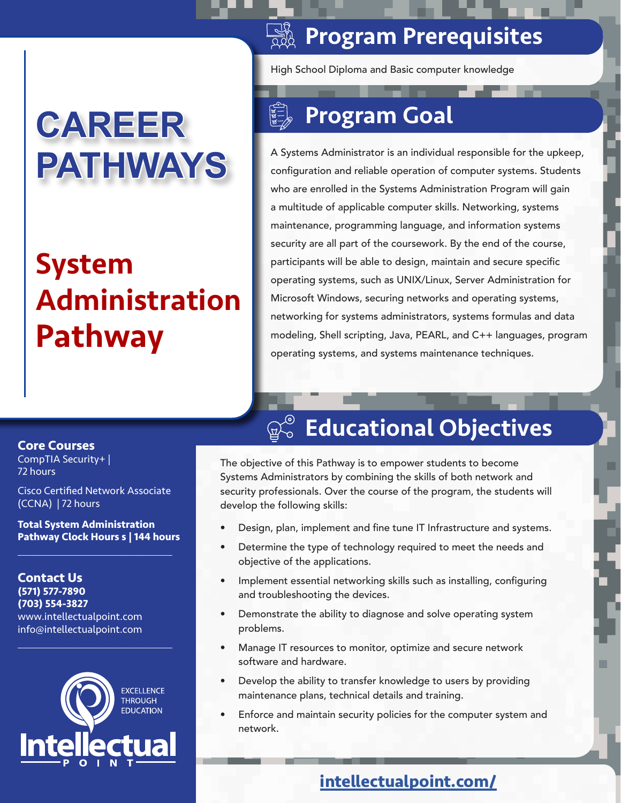# **CAREER PATHWAYS**

# System Administration Pathway

### **SAP Program Prerequisites**

High School Diploma and Basic computer knowledge

# Program Goal

A Systems Administrator is an individual responsible for the upkeep, configuration and reliable operation of computer systems. Students who are enrolled in the Systems Administration Program will gain a multitude of applicable computer skills. Networking, systems maintenance, programming language, and information systems security are all part of the coursework. By the end of the course, participants will be able to design, maintain and secure specific operating systems, such as UNIX/Linux, Server Administration for Microsoft Windows, securing networks and operating systems, networking for systems administrators, systems formulas and data modeling, Shell scripting, Java, PEARL, and C++ languages, program operating systems, and systems maintenance techniques.

#### **Core Courses**

CompTIA Security+ | 72 hours

Cisco Certified Network Associate (CCNA) | 72 hours

**Total System Administration Pathway Clock Hours s | 144 hours**  $\mathcal{L}_\mathcal{L}$  , where  $\mathcal{L}_\mathcal{L}$  is the set of the set of the set of the set of the set of the set of the set of the set of the set of the set of the set of the set of the set of the set of the set of the set of the

**Contact Us (571) 577-7890 (703) 554-3827** www.intellectualpoint.com info@intellectualpoint.com



 $\mathcal{L}_\mathcal{L}$  , where  $\mathcal{L}_\mathcal{L}$  is the set of the set of the set of the set of the set of the set of the set of the set of the set of the set of the set of the set of the set of the set of the set of the set of the

## Educational Objectives

The objective of this Pathway is to empower students to become Systems Administrators by combining the skills of both network and security professionals. Over the course of the program, the students will develop the following skills:

- Design, plan, implement and fine tune IT Infrastructure and systems.
- Determine the type of technology required to meet the needs and objective of the applications.
- Implement essential networking skills such as installing, configuring and troubleshooting the devices.
- Demonstrate the ability to diagnose and solve operating system problems.
- Manage IT resources to monitor, optimize and secure network software and hardware.
- Develop the ability to transfer knowledge to users by providing maintenance plans, technical details and training.
- Enforce and maintain security policies for the computer system and network.

### **intellectualpoint.com/**